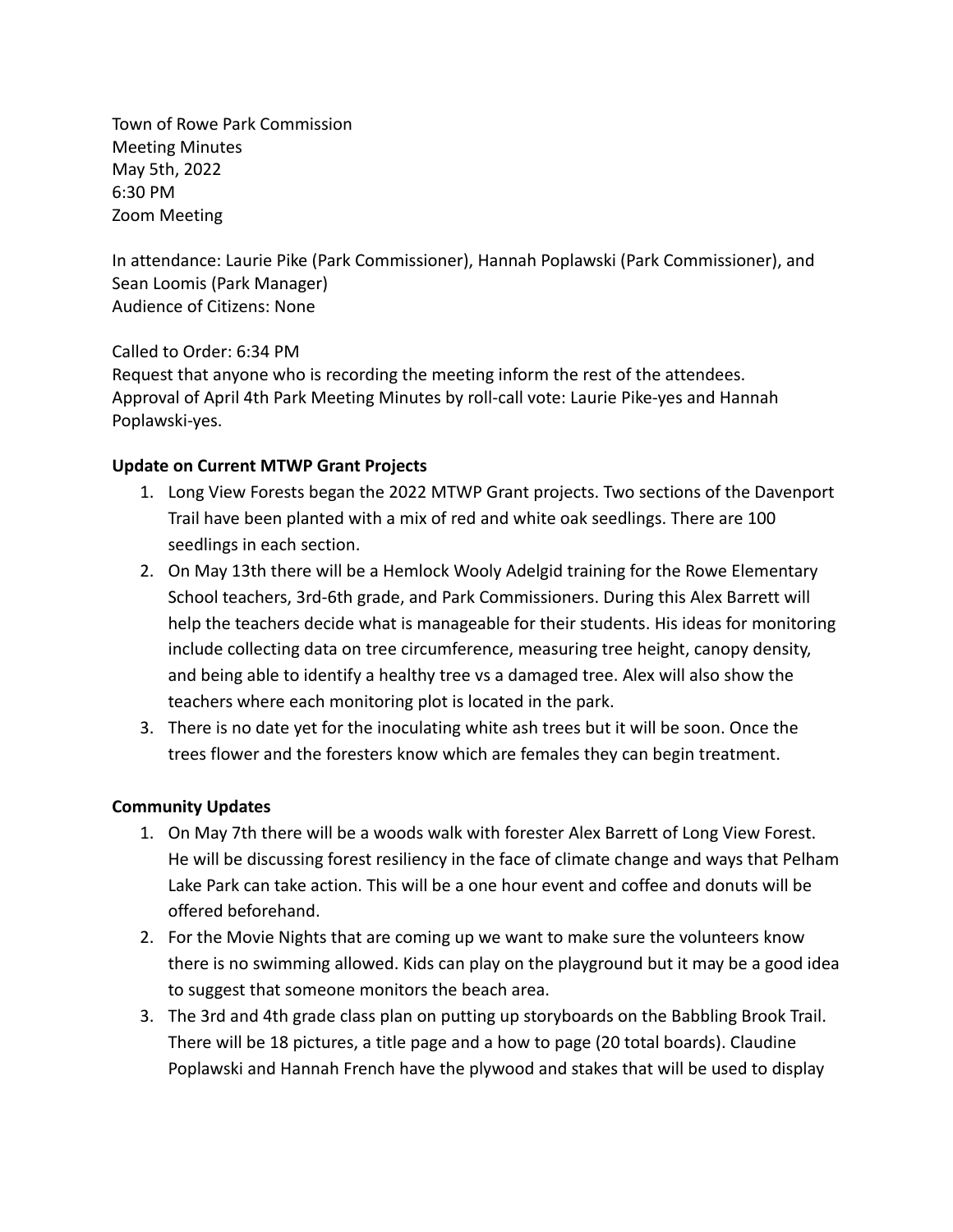Town of Rowe Park Commission Meeting Minutes May 5th, 2022 6:30 PM Zoom Meeting

In attendance: Laurie Pike (Park Commissioner), Hannah Poplawski (Park Commissioner), and Sean Loomis (Park Manager) Audience of Citizens: None

Called to Order: 6:34 PM

Request that anyone who is recording the meeting inform the rest of the attendees. Approval of April 4th Park Meeting Minutes by roll-call vote: Laurie Pike-yes and Hannah Poplawski-yes.

## **Update on Current MTWP Grant Projects**

- 1. Long View Forests began the 2022 MTWP Grant projects. Two sections of the Davenport Trail have been planted with a mix of red and white oak seedlings. There are 100 seedlings in each section.
- 2. On May 13th there will be a Hemlock Wooly Adelgid training for the Rowe Elementary School teachers, 3rd-6th grade, and Park Commissioners. During this Alex Barrett will help the teachers decide what is manageable for their students. His ideas for monitoring include collecting data on tree circumference, measuring tree height, canopy density, and being able to identify a healthy tree vs a damaged tree. Alex will also show the teachers where each monitoring plot is located in the park.
- 3. There is no date yet for the inoculating white ash trees but it will be soon. Once the trees flower and the foresters know which are females they can begin treatment.

## **Community Updates**

- 1. On May 7th there will be a woods walk with forester Alex Barrett of Long View Forest. He will be discussing forest resiliency in the face of climate change and ways that Pelham Lake Park can take action. This will be a one hour event and coffee and donuts will be offered beforehand.
- 2. For the Movie Nights that are coming up we want to make sure the volunteers know there is no swimming allowed. Kids can play on the playground but it may be a good idea to suggest that someone monitors the beach area.
- 3. The 3rd and 4th grade class plan on putting up storyboards on the Babbling Brook Trail. There will be 18 pictures, a title page and a how to page (20 total boards). Claudine Poplawski and Hannah French have the plywood and stakes that will be used to display